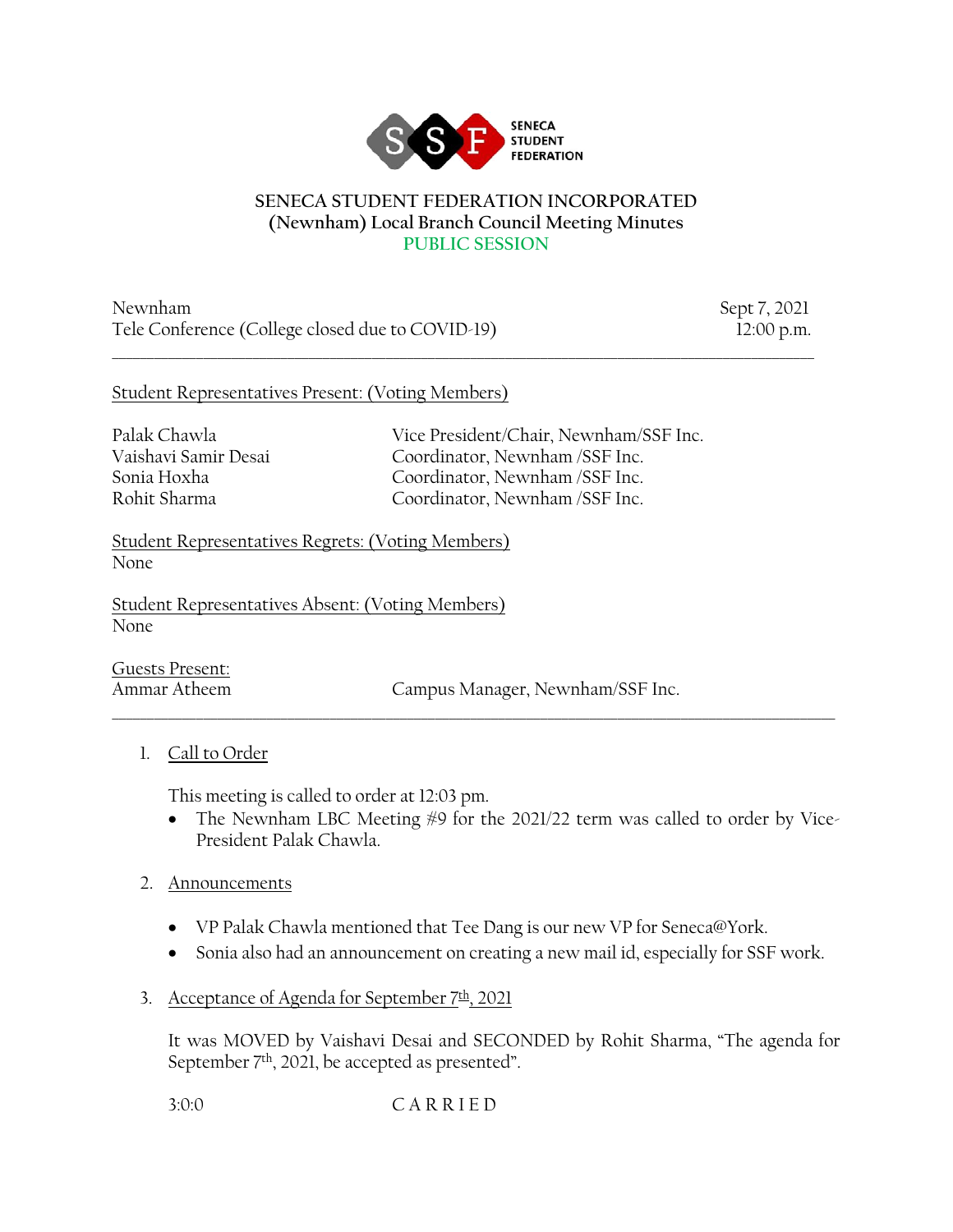

#### **SENECA STUDENT FEDERATION INCORPORATED (Newnham) Local Branch Council Meeting Minutes PUBLIC SESSION**

 $\_$  , and the set of the set of the set of the set of the set of the set of the set of the set of the set of the set of the set of the set of the set of the set of the set of the set of the set of the set of the set of th

Newnham Sept 7, 2021 Tele Conference (College closed due to COVID-19) 12:00 p.m.

### Student Representatives Present: (Voting Members)

Palak Chawla Vice President/Chair, Newnham/SSF Inc. Vaishavi Samir Desai Coordinator, Newnham /SSF Inc. Sonia Hoxha Coordinator, Newnham /SSF Inc. Rohit Sharma Coordinator, Newnham /SSF Inc.

Student Representatives Regrets: (Voting Members) None

Student Representatives Absent: (Voting Members) None

Guests Present:

Ammar Atheem Campus Manager, Newnham/SSF Inc.

## 1. Call to Order

This meeting is called to order at 12:03 pm.

• The Newnham LBC Meeting #9 for the 2021/22 term was called to order by Vice-President Palak Chawla.

#### 2. Announcements

• VP Palak Chawla mentioned that Tee Dang is our new VP for Seneca@York.

\_\_\_\_\_\_\_\_\_\_\_\_\_\_\_\_\_\_\_\_\_\_\_\_\_\_\_\_\_\_\_\_\_\_\_\_\_\_\_\_\_\_\_\_\_\_\_\_\_\_\_\_\_\_\_\_\_\_\_\_\_\_\_\_\_\_\_\_\_\_\_\_\_\_\_\_\_\_\_\_\_\_\_\_\_\_\_\_\_\_\_\_\_\_\_\_\_\_\_\_\_\_\_

- Sonia also had an announcement on creating a new mail id, especially for SSF work.
- 3. Acceptance of Agenda for September  $7th$ , 2021

It was MOVED by Vaishavi Desai and SECONDED by Rohit Sharma, "The agenda for September 7<sup>th</sup>, 2021, be accepted as presented".

3:0:0 C A R R I E D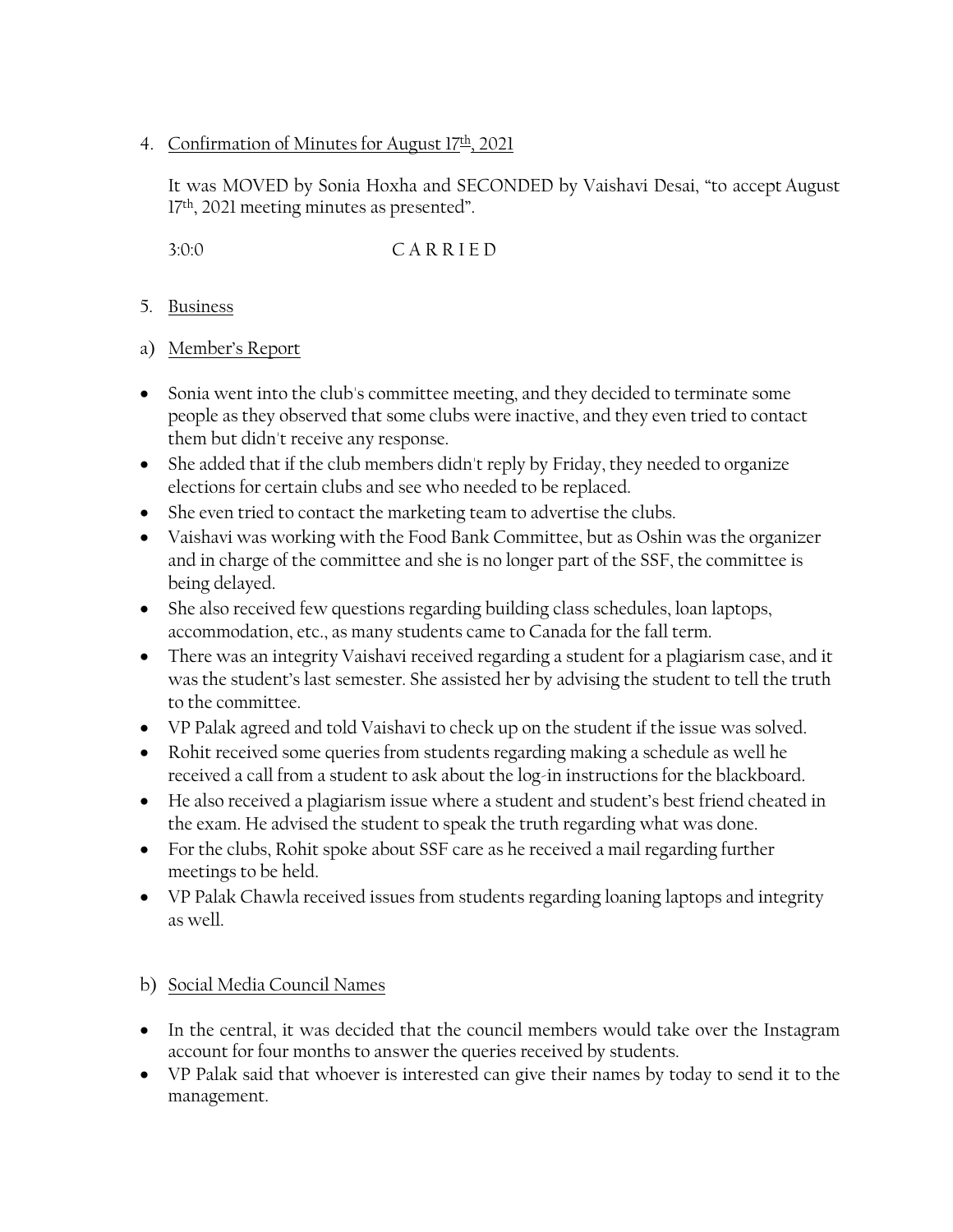### 4. Confirmation of Minutes for August  $17th$ , 2021

It was MOVED by Sonia Hoxha and SECONDED by Vaishavi Desai, "to accept August 17<sup>th</sup>, 2021 meeting minutes as presented".

3:0:0 C A R R I E D

- 5. Business
- a) Member's Report
- Sonia went into the club's committee meeting, and they decided to terminate some people as they observed that some clubs were inactive, and they even tried to contact them but didn't receive any response.
- She added that if the club members didn't reply by Friday, they needed to organize elections for certain clubs and see who needed to be replaced.
- She even tried to contact the marketing team to advertise the clubs.
- Vaishavi was working with the Food Bank Committee, but as Oshin was the organizer and in charge of the committee and she is no longer part of the SSF, the committee is being delayed.
- She also received few questions regarding building class schedules, loan laptops, accommodation, etc., as many students came to Canada for the fall term.
- There was an integrity Vaishavi received regarding a student for a plagiarism case, and it was the student's last semester. She assisted her by advising the student to tell the truth to the committee.
- VP Palak agreed and told Vaishavi to check up on the student if the issue was solved.
- Rohit received some queries from students regarding making a schedule as well he received a call from a student to ask about the log-in instructions for the blackboard.
- He also received a plagiarism issue where a student and student's best friend cheated in the exam. He advised the student to speak the truth regarding what was done.
- For the clubs, Rohit spoke about SSF care as he received a mail regarding further meetings to be held.
- VP Palak Chawla received issues from students regarding loaning laptops and integrity as well.

# b) Social Media Council Names

- In the central, it was decided that the council members would take over the Instagram account for four months to answer the queries received by students.
- VP Palak said that whoever is interested can give their names by today to send it to the management.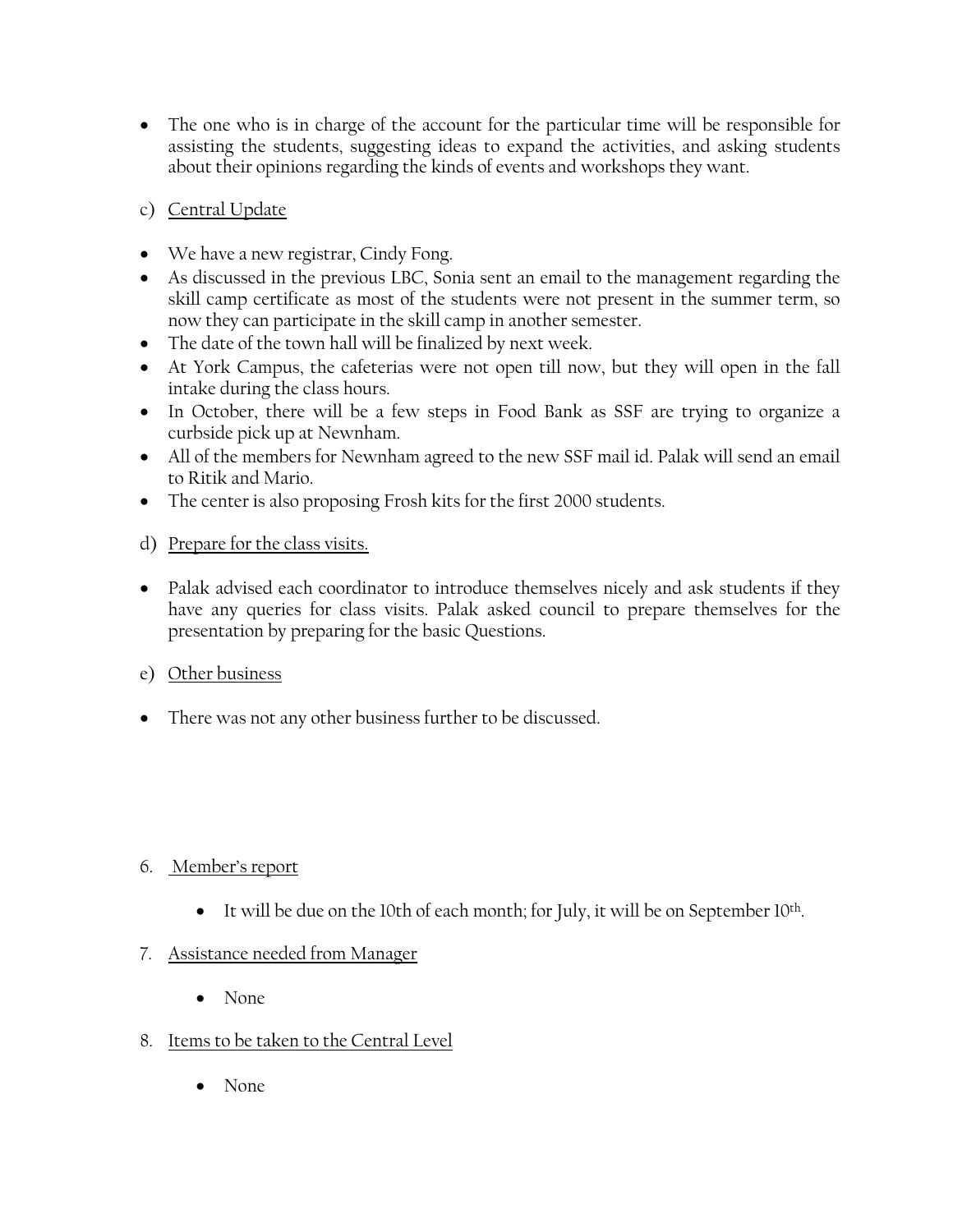- The one who is in charge of the account for the particular time will be responsible for assisting the students, suggesting ideas to expand the activities, and asking students about their opinions regarding the kinds of events and workshops they want.
- c) Central Update
- We have a new registrar, Cindy Fong.
- As discussed in the previous LBC, Sonia sent an email to the management regarding the skill camp certificate as most of the students were not present in the summer term, so now they can participate in the skill camp in another semester.
- The date of the town hall will be finalized by next week.
- At York Campus, the cafeterias were not open till now, but they will open in the fall intake during the class hours.
- In October, there will be a few steps in Food Bank as SSF are trying to organize a curbside pick up at Newnham.
- All of the members for Newnham agreed to the new SSF mail id. Palak will send an email to Ritik and Mario.
- The center is also proposing Frosh kits for the first 2000 students.
- d) Prepare for the class visits.
- Palak advised each coordinator to introduce themselves nicely and ask students if they have any queries for class visits. Palak asked council to prepare themselves for the presentation by preparing for the basic Questions.
- e) Other business
- There was not any other business further to be discussed.

# 6. Member's report

- It will be due on the 10th of each month; for July, it will be on September 10th.
- 7. Assistance needed from Manager
	- None
- 8. Items to be taken to the Central Level
	- None